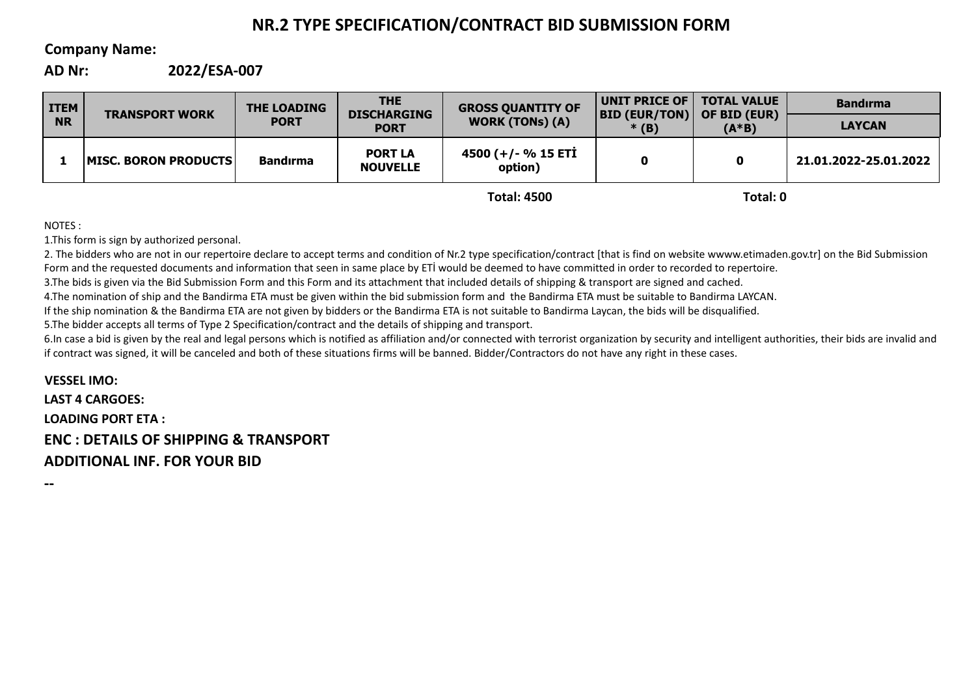# **NR.2 TYPE SPECIFICATION/CONTRACT BID SUBMISSION FORM**

# **Company Name:**

**AD Nr: 2022/ESA-007**

| <b>ITEM</b><br><b>NR</b> | <b>TRANSPORT WORK</b> | <b>THE LOADING</b><br><b>PORT</b> | <b>THE</b><br><b>DISCHARGING</b><br><b>PORT</b> | <b>GROSS QUANTITY OF</b><br><b>WORK (TONs) (A)</b> | UNIT PRICE OF  <br><b>BID (EUR/TON)</b><br>$*(B)$ | <b>TOTAL VALUE</b><br>OF BID (EUR)<br>$(A*B)$ | <b>Bandirma</b>       |
|--------------------------|-----------------------|-----------------------------------|-------------------------------------------------|----------------------------------------------------|---------------------------------------------------|-----------------------------------------------|-----------------------|
|                          |                       |                                   |                                                 |                                                    |                                                   |                                               | <b>LAYCAN</b>         |
|                          | MISC. BORON PRODUCTS  | <b>Bandırma</b>                   | <b>PORT LA</b><br><b>NOUVELLE</b>               | 4500 (+/- % 15 ETİ<br>option)                      | O                                                 | 0                                             | 21.01.2022-25.01.2022 |
|                          |                       |                                   |                                                 | <b>Total: 4500</b>                                 |                                                   | Total: 0                                      |                       |

NOTES :

1.This form is sign by authorized personal.

2. The bidders who are not in our repertoire declare to accept terms and condition of Nr.2 type specification/contract [that is find on website wwww.etimaden.gov.tr] on the Bid Submission Form and the requested documents and information that seen in same place by ETİ would be deemed to have committed in order to recorded to repertoire.

3.The bids is given via the Bid Submission Form and this Form and its attachment that included details of shipping & transport are signed and cached.

4.The nomination of ship and the Bandirma ETA must be given within the bid submission form and the Bandirma ETA must be suitable to Bandirma LAYCAN.

If the ship nomination & the Bandirma ETA are not given by bidders or the Bandirma ETA is not suitable to Bandirma Laycan, the bids will be disqualified.

5.The bidder accepts all terms of Type 2 Specification/contract and the details of shipping and transport.

6.In case a bid is given by the real and legal persons which is notified as affiliation and/or connected with terrorist organization by security and intelligent authorities, their bids are invalid and if contract was signed, it will be canceled and both of these situations firms will be banned. Bidder/Contractors do not have any right in these cases.

**VESSEL IMO: LAST 4 CARGOES: LOADING PORT ETA : ENC : DETAILS OF SHIPPING & TRANSPORT ADDITIONAL INF. FOR YOUR BID**

**--**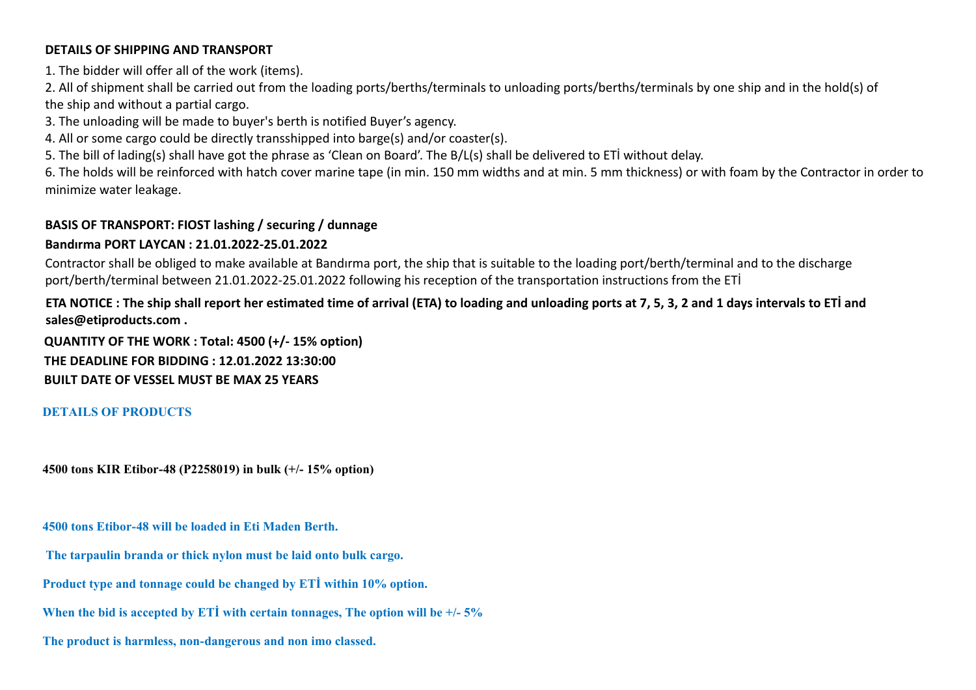### **DETAILS OF SHIPPING AND TRANSPORT**

1. The bidder will offer all of the work (items).

2. All of shipment shall be carried out from the loading ports/berths/terminals to unloading ports/berths/terminals by one ship and in the hold(s) of the ship and without a partial cargo.

3. The unloading will be made to buyer's berth is notified Buyer's agency.

4. All or some cargo could be directly transshipped into barge(s) and/or coaster(s).

5. The bill of lading(s) shall have got the phrase as 'Clean on Board'. The B/L(s) shall be delivered to ETİ without delay.

6. The holds will be reinforced with hatch cover marine tape (in min. 150 mm widths and at min. 5 mm thickness) or with foam by the Contractor in order to minimize water leakage.

# **BASIS OF TRANSPORT: FIOST lashing / securing / dunnage**

# **Bandırma PORT LAYCAN : 21.01.2022-25.01.2022**

Contractor shall be obliged to make available at Bandırma port, the ship that is suitable to the loading port/berth/terminal and to the discharge port/berth/terminal between 21.01.2022-25.01.2022 following his reception of the transportation instructions from the ETİ

# **ETA NOTICE : The ship shall report her estimated time of arrival (ETA) to loading and unloading ports at 7, 5, 3, 2 and 1 days intervals to ETİ and sales@etiproducts.com .**

**QUANTITY OF THE WORK : Total: 4500 (+/- 15% option) THE DEADLINE FOR BIDDING : 12.01.2022 13:30:00 BUILT DATE OF VESSEL MUST BE MAX 25 YEARS**

### **DETAILS OF PRODUCTS**

**4500 tons KIR Etibor-48 (P2258019) in bulk (+/- 15% option)**

**4500 tons Etibor-48 will be loaded in Eti Maden Berth.**

 **The tarpaulin branda or thick nylon must be laid onto bulk cargo.**

**Product type and tonnage could be changed by ETİ within 10% option.**

**When the bid is accepted by ETİ with certain tonnages, The option will be +/- 5%**

**The product is harmless, non-dangerous and non imo classed.**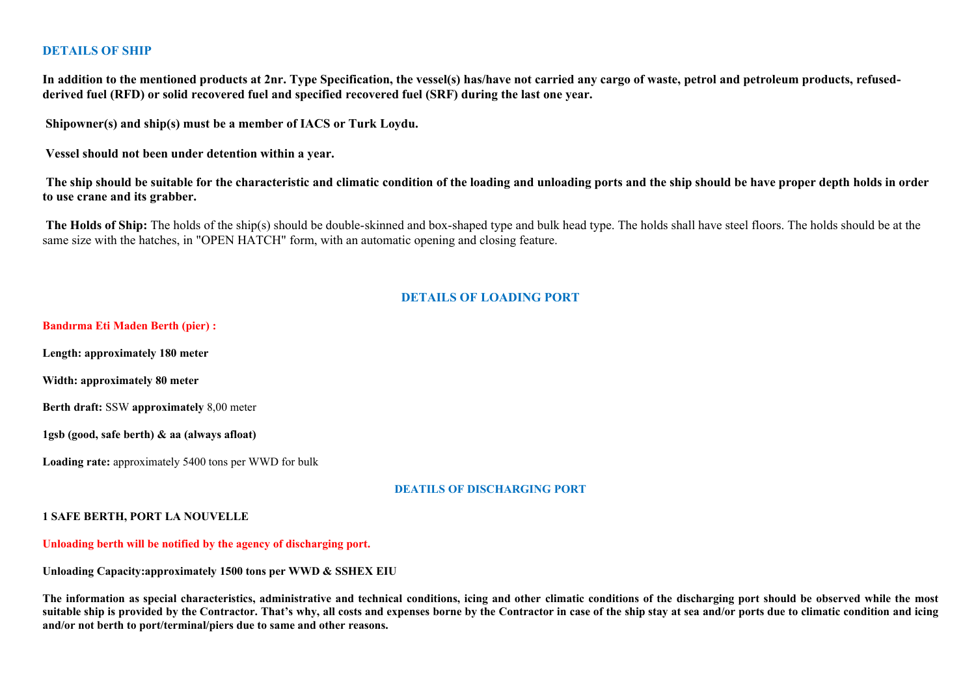### **DETAILS OF SHIP**

In addition to the mentioned products at 2nr. Type Specification, the vessel(s) has/have not carried any cargo of waste, petrol and petroleum products, refused**derived fuel (RFD) or solid recovered fuel and specified recovered fuel (SRF) during the last one year.**

**Shipowner(s) and ship(s) must be a member of IACS or Turk Loydu.**

**Vessel should not been under detention within a year.**

The ship should be suitable for the characteristic and climatic condition of the loading and unloading ports and the ship should be have proper depth holds in order **to use crane and its grabber.**

 **The Holds of Ship:** The holds of the ship(s) should be double-skinned and box-shaped type and bulk head type. The holds shall have steel floors. The holds should be at the same size with the hatches, in "OPEN HATCH" form, with an automatic opening and closing feature.

### **DETAILS OF LOADING PORT**

**Bandırma Eti Maden Berth (pier) : Length: approximately 180 meter Width: approximately 80 meter Berth draft:** SSW **approximately** 8,00 meter **1gsb (good, safe berth) & aa (always afloat) Loading rate:** approximately 5400 tons per WWD for bulk

#### **DEATILS OF DISCHARGING PORT**

#### **1 SAFE BERTH, PORT LA NOUVELLE**

**Unloading berth will be notified by the agency of discharging port.**

**Unloading Capacity:approximately 1500 tons per WWD & SSHEX EIU**

The information as special characteristics, administrative and technical conditions, icing and other climatic conditions of the discharging port should be observed while the most suitable ship is provided by the Contractor. That's why, all costs and expenses borne by the Contractor in case of the ship stay at sea and/or ports due to climatic condition and icing **and/or not berth to port/terminal/piers due to same and other reasons.**